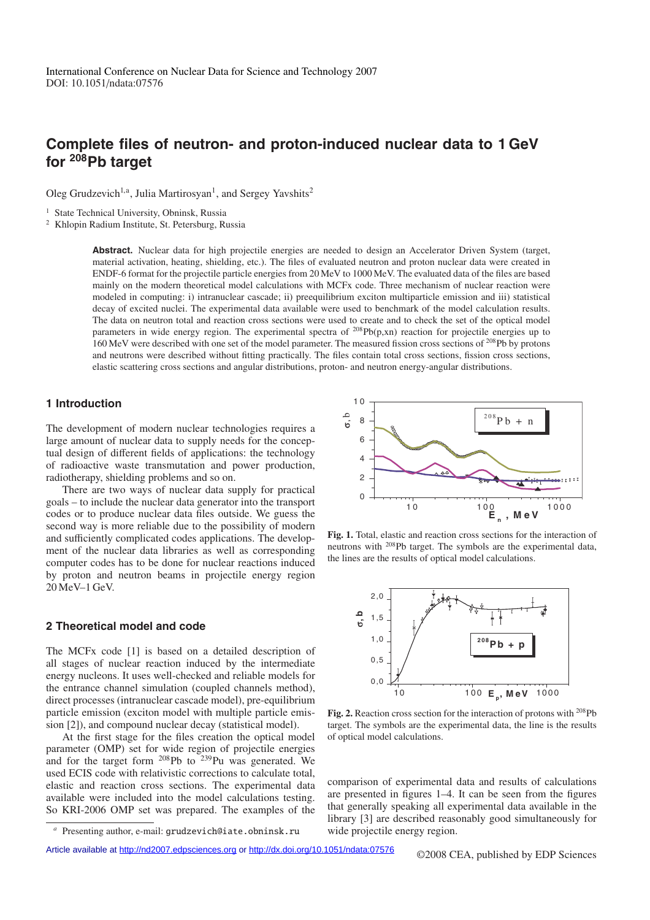# **Complete files of neutron- and proton-induced nuclear data to 1 GeV for 208Pb target**

Oleg Grudzevich<sup>1,a</sup>, Julia Martirosyan<sup>1</sup>, and Sergey Yavshits<sup>2</sup>

<sup>1</sup> State Technical University, Obninsk, Russia

<sup>2</sup> Khlopin Radium Institute, St. Petersburg, Russia

**Abstract.** Nuclear data for high projectile energies are needed to design an Accelerator Driven System (target, material activation, heating, shielding, etc.). The files of evaluated neutron and proton nuclear data were created in ENDF-6 format for the projectile particle energies from 20 MeV to 1000 MeV. The evaluated data of the files are based mainly on the modern theoretical model calculations with MCFx code. Three mechanism of nuclear reaction were modeled in computing: i) intranuclear cascade; ii) preequilibrium exciton multiparticle emission and iii) statistical decay of excited nuclei. The experimental data available were used to benchmark of the model calculation results. The data on neutron total and reaction cross sections were used to create and to check the set of the optical model parameters in wide energy region. The experimental spectra of <sup>208</sup>Pb(p,xn) reaction for projectile energies up to 160 MeV were described with one set of the model parameter. The measured fission cross sections of <sup>208</sup>Pb by protons and neutrons were described without fitting practically. The files contain total cross sections, fission cross sections, elastic scattering cross sections and angular distributions, proton- and neutron energy-angular distributions.

### **1 Introduction**

The development of modern nuclear technologies requires a large amount of nuclear data to supply needs for the conceptual design of different fields of applications: the technology of radioactive waste transmutation and power production, radiotherapy, shielding problems and so on.

There are two ways of nuclear data supply for practical goals – to include the nuclear data generator into the transport codes or to produce nuclear data files outside. We guess the second way is more reliable due to the possibility of modern and sufficiently complicated codes applications. The development of the nuclear data libraries as well as corresponding computer codes has to be done for nuclear reactions induced by proton and neutron beams in projectile energy region 20 MeV–1 GeV.

### **2 Theoretical model and code**

The MCFx code [1] is based on a detailed description of all stages of nuclear reaction induced by the intermediate energy nucleons. It uses well-checked and reliable models for the entrance channel simulation (coupled channels method), direct processes (intranuclear cascade model), pre-equilibrium particle emission (exciton model with multiple particle emission [2]), and compound nuclear decay (statistical model).

At the first stage for the files creation the optical model parameter (OMP) set for wide region of projectile energies and for the target form  $^{208}Pb$  to  $^{239}Pu$  was generated. We used ECIS code with relativistic corrections to calculate total, elastic and reaction cross sections. The experimental data available were included into the model calculations testing. So KRI-2006 OMP set was prepared. The examples of the





**Fig. 1.** Total, elastic and reaction cross sections for the interaction of neutrons with 208Pb target. The symbols are the experimental data, the lines are the results of optical model calculations.



**Fig. 2.** Reaction cross section for the interaction of protons with 208Pb target. The symbols are the experimental data, the line is the results of optical model calculations.

comparison of experimental data and results of calculations are presented in figures 1–4. It can be seen from the figures that generally speaking all experimental data available in the library [3] are described reasonably good simultaneously for wide projectile energy region.

Article available at<http://nd2007.edpsciences.org> or <http://dx.doi.org/10.1051/ndata:07576> ©2008 CEA, published by EDP Sciences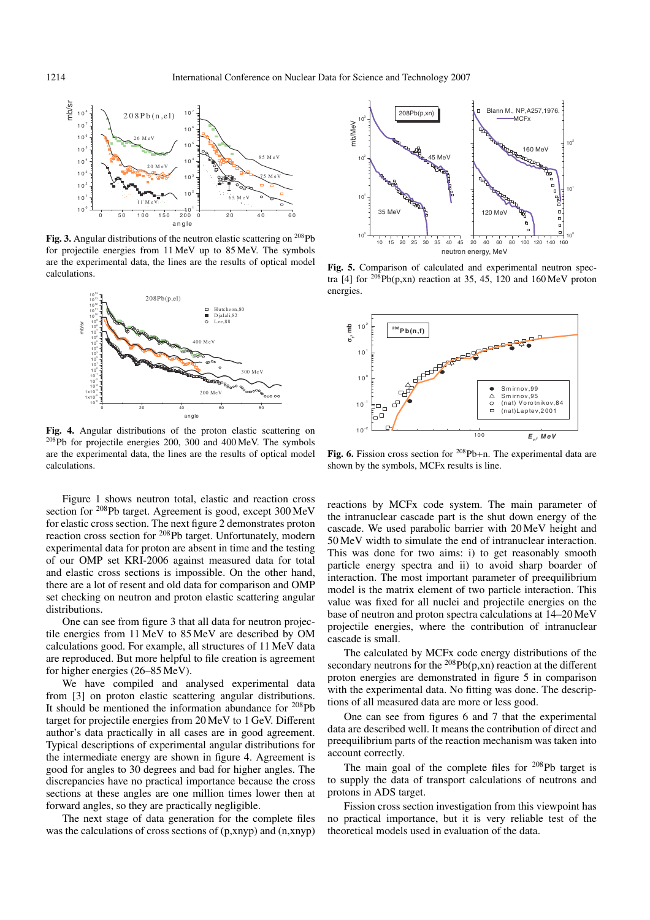

**Fig. 3.** Angular distributions of the neutron elastic scattering on <sup>208</sup>Pb for projectile energies from 11 MeV up to 85 MeV. The symbols are the experimental data, the lines are the results of optical model calculations.



**Fig. 4.** Angular distributions of the proton elastic scattering on 208Pb for projectile energies 200, 300 and 400 MeV. The symbols are the experimental data, the lines are the results of optical model calculations.

Figure 1 shows neutron total, elastic and reaction cross section for 208Pb target. Agreement is good, except 300 MeV for elastic cross section. The next figure 2 demonstrates proton reaction cross section for 208Pb target. Unfortunately, modern experimental data for proton are absent in time and the testing of our OMP set KRI-2006 against measured data for total and elastic cross sections is impossible. On the other hand, there are a lot of resent and old data for comparison and OMP set checking on neutron and proton elastic scattering angular distributions.

One can see from figure 3 that all data for neutron projectile energies from 11 MeV to 85 MeV are described by OM calculations good. For example, all structures of 11 MeV data are reproduced. But more helpful to file creation is agreement for higher energies (26–85 MeV).

We have compiled and analysed experimental data from [3] on proton elastic scattering angular distributions. It should be mentioned the information abundance for 208Pb target for projectile energies from 20 MeV to 1 GeV. Different author's data practically in all cases are in good agreement. Typical descriptions of experimental angular distributions for the intermediate energy are shown in figure 4. Agreement is good for angles to 30 degrees and bad for higher angles. The discrepancies have no practical importance because the cross sections at these angles are one million times lower then at forward angles, so they are practically negligible.

The next stage of data generation for the complete files was the calculations of cross sections of (p,xnyp) and (n,xnyp)



**Fig. 5.** Comparison of calculated and experimental neutron spectra [4] for  $^{208}Pb(p,xn)$  reaction at 35, 45, 120 and 160 MeV proton energies.



**Fig. 6.** Fission cross section for <sup>208</sup>Pb+n. The experimental data are shown by the symbols, MCFx results is line.

reactions by MCFx code system. The main parameter of the intranuclear cascade part is the shut down energy of the cascade. We used parabolic barrier with 20 MeV height and 50 MeV width to simulate the end of intranuclear interaction. This was done for two aims: i) to get reasonably smooth particle energy spectra and ii) to avoid sharp boarder of interaction. The most important parameter of preequilibrium model is the matrix element of two particle interaction. This value was fixed for all nuclei and projectile energies on the base of neutron and proton spectra calculations at 14–20 MeV projectile energies, where the contribution of intranuclear cascade is small.

The calculated by MCFx code energy distributions of the secondary neutrons for the  $^{208}Pb(p,xn)$  reaction at the different proton energies are demonstrated in figure 5 in comparison with the experimental data. No fitting was done. The descriptions of all measured data are more or less good.

One can see from figures 6 and 7 that the experimental data are described well. It means the contribution of direct and preequilibrium parts of the reaction mechanism was taken into account correctly.

The main goal of the complete files for  $208$ Pb target is to supply the data of transport calculations of neutrons and protons in ADS target.

Fission cross section investigation from this viewpoint has no practical importance, but it is very reliable test of the theoretical models used in evaluation of the data.